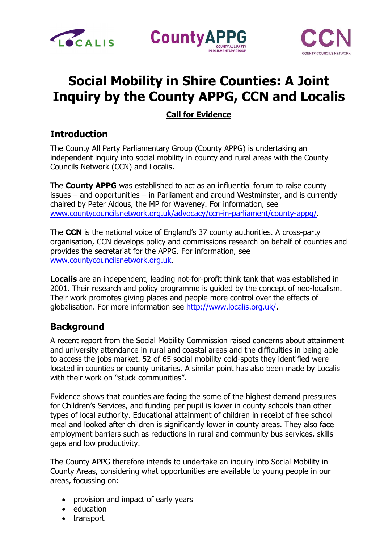





# **Social Mobility in Shire Counties: A Joint Inquiry by the County APPG, CCN and Localis**

## **Call for Evidence**

# **Introduction**

The County All Party Parliamentary Group (County APPG) is undertaking an independent inquiry into social mobility in county and rural areas with the County Councils Network (CCN) and Localis.

The **County APPG** was established to act as an influential forum to raise county issues – and opportunities – in Parliament and around Westminster, and is currently chaired by Peter Aldous, the MP for Waveney. For information, see [www.countycouncilsnetwork.org.uk/advocacy/ccn-in-parliament/county-appg/.](https://www.countycouncilsnetwork.org.uk/advocacy/ccn-in-parliament/county-appg/)

The **CCN** is the national voice of England's 37 county authorities. A cross-party organisation, CCN develops policy and commissions research on behalf of counties and provides the secretariat for the APPG. For information, see [www.countycouncilsnetwork.org.uk.](http://www.countycouncilsnetwork.org.uk/)

**Localis** are an independent, leading not-for-profit think tank that was established in 2001. Their research and policy programme is guided by the concept of neo-localism. Their work promotes giving places and people more control over the effects of globalisation. For more information see [http://www.localis.org.uk/.](http://www.localis.org.uk/)

# **Background**

A recent report from the Social Mobility Commission raised concerns about attainment and university attendance in rural and coastal areas and the difficulties in being able to access the jobs market. 52 of 65 social mobility cold-spots they identified were located in counties or county unitaries. A similar point has also been made by Localis with their work on "stuck communities".

Evidence shows that counties are facing the some of the highest demand pressures for Children's Services, and funding per pupil is lower in county schools than other types of local authority. Educational attainment of children in receipt of free school meal and looked after children is significantly lower in county areas. They also face employment barriers such as reductions in rural and community bus services, skills gaps and low productivity.

The County APPG therefore intends to undertake an inquiry into Social Mobility in County Areas, considering what opportunities are available to young people in our areas, focussing on:

- provision and impact of early years
- education
- transport